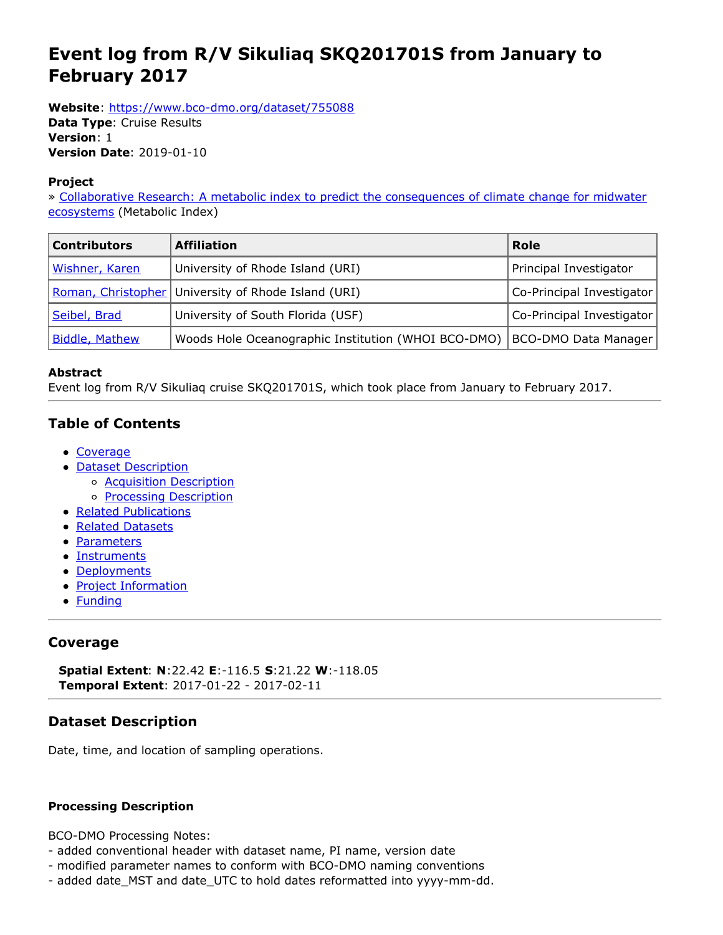# <span id="page-0-0"></span>**Event log from R/V Sikuliaq SKQ201701S from January to February 2017**

**Website**: <https://www.bco-dmo.org/dataset/755088>

**Data Type**: Cruise Results **Version**: 1 **Version Date**: 2019-01-10

#### **Project**

» Collaborative Research: A metabolic index to predict the [consequences](https://www.bco-dmo.org/project/663015) of climate change for midwater ecosystems (Metabolic Index)

| <b>Contributors</b>   | <b>Affiliation</b>                                    | <b>Role</b>               |
|-----------------------|-------------------------------------------------------|---------------------------|
| Wishner, Karen        | University of Rhode Island (URI)                      | Principal Investigator    |
|                       | Roman, Christopher   University of Rhode Island (URI) | Co-Principal Investigator |
| Seibel, Brad          | University of South Florida (USF)                     | Co-Principal Investigator |
| <b>Biddle, Mathew</b> | Woods Hole Oceanographic Institution (WHOI BCO-DMO)   | BCO-DMO Data Manager      |

#### **Abstract**

Event log from R/V Sikuliaq cruise SKQ201701S, which took place from January to February 2017.

## **Table of Contents**

- [Coverage](#page-0-0)
- Dataset [Description](#page-0-0)
	- o **Acquisition Description**
	- o **Processing [Description](#page-0-0)**
- Related [Publications](#page-0-0)
- Related [Datasets](#page-0-0)
- [Parameters](#page-0-0)
- [Instruments](#page-0-0)
- [Deployments](#page-0-0)
- Project [Information](#page-0-0)
- [Funding](#page-0-0)

## **Coverage**

**Spatial Extent**: **N**:22.42 **E**:-116.5 **S**:21.22 **W**:-118.05 **Temporal Extent**: 2017-01-22 - 2017-02-11

## **Dataset Description**

Date, time, and location of sampling operations.

#### **Processing Description**

BCO-DMO Processing Notes:

- added conventional header with dataset name, PI name, version date
- modified parameter names to conform with BCO-DMO naming conventions
- added date\_MST and date\_UTC to hold dates reformatted into yyyy-mm-dd.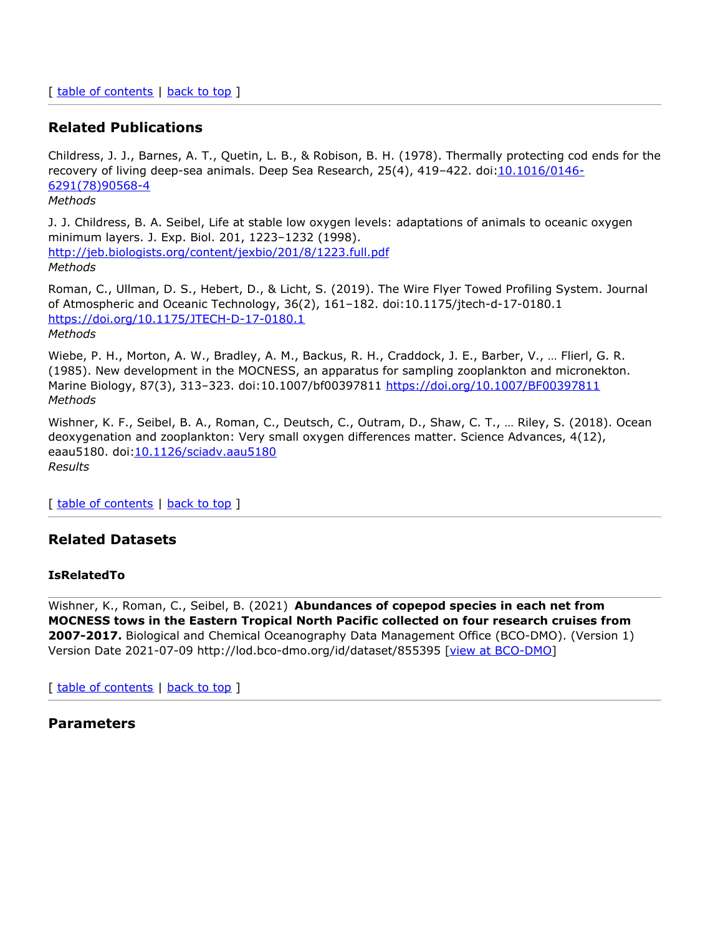#### **Related Publications**

Childress, J. J., Barnes, A. T., Quetin, L. B., & Robison, B. H. (1978). Thermally protecting cod ends for the recovery of living deep-sea animals. Deep Sea Research, 25(4), 419–422. [doi:10.1016/0146-](https://doi.org/10.1016/0146-6291(78)90568-4) 6291(78)90568-4 *Methods*

J. J. Childress, B. A. Seibel, Life at stable low oxygen levels: adaptations of animals to oceanic oxygen minimum layers. J. Exp. Biol. 201, 1223–1232 (1998). <http://jeb.biologists.org/content/jexbio/201/8/1223.full.pdf> *Methods*

Roman, C., Ullman, D. S., Hebert, D., & Licht, S. (2019). The Wire Flyer Towed Profiling System. Journal of Atmospheric and Oceanic Technology, 36(2), 161–182. doi:10.1175/jtech-d-17-0180.1 <https://doi.org/10.1175/JTECH-D-17-0180.1> *Methods*

Wiebe, P. H., Morton, A. W., Bradley, A. M., Backus, R. H., Craddock, J. E., Barber, V., … Flierl, G. R. (1985). New development in the MOCNESS, an apparatus for sampling zooplankton and micronekton. Marine Biology, 87(3), 313–323. doi:10.1007/bf00397811 <https://doi.org/10.1007/BF00397811> *Methods*

Wishner, K. F., Seibel, B. A., Roman, C., Deutsch, C., Outram, D., Shaw, C. T., … Riley, S. (2018). Ocean deoxygenation and zooplankton: Very small oxygen differences matter. Science Advances, 4(12), eaau5180. doi[:10.1126/sciadv.aau5180](https://doi.org/10.1126/sciadv.aau5180) *Results*

[ table of [contents](#page-0-0) | [back](#page-0-0) to top ]

#### **Related Datasets**

#### **IsRelatedTo**

Wishner, K., Roman, C., Seibel, B. (2021) **Abundances of copepod species in each net from MOCNESS tows in the Eastern Tropical North Pacific collected on four research cruises from 2007-2017.** Biological and Chemical Oceanography Data Management Office (BCO-DMO). (Version 1) Version Date 2021-07-09 http://lod.bco-dmo.org/id/dataset/855395 [view at [BCO-DMO](https://www.bco-dmo.org/dataset/855395)]

[ table of [contents](#page-0-0) | [back](#page-0-0) to top ]

#### **Parameters**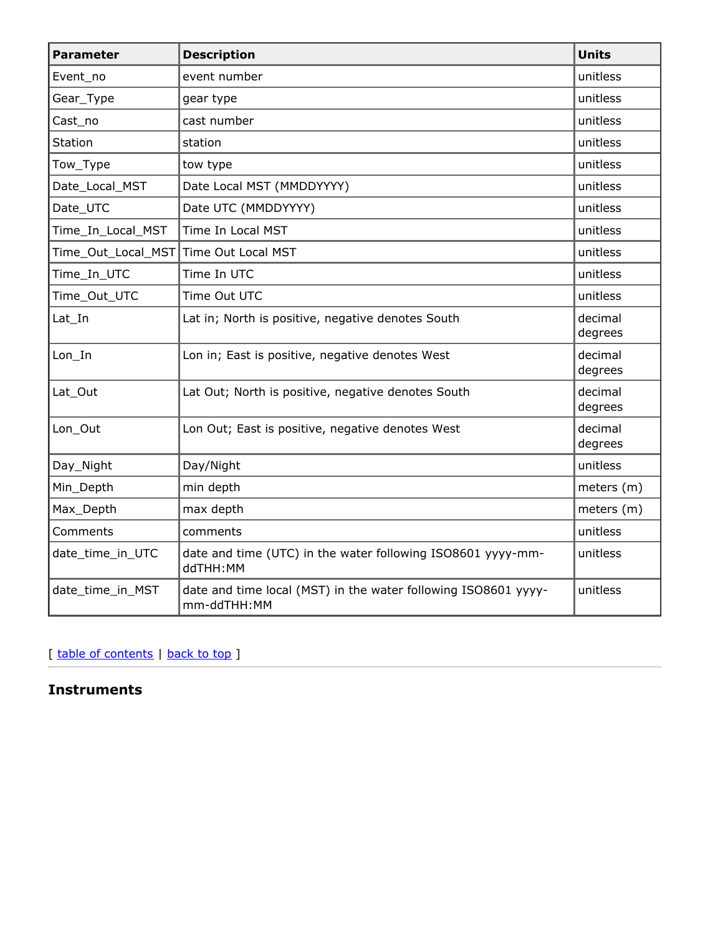| <b>Parameter</b>   | <b>Description</b>                                                            | <b>Units</b>       |
|--------------------|-------------------------------------------------------------------------------|--------------------|
| Event no           | event number                                                                  | unitless           |
| Gear_Type          | gear type                                                                     | unitless           |
| Cast_no            | cast number                                                                   | unitless           |
| <b>Station</b>     | station                                                                       | unitless           |
| Tow_Type           | tow type                                                                      | unitless           |
| Date_Local_MST     | Date Local MST (MMDDYYYY)                                                     | unitless           |
| Date_UTC           | Date UTC (MMDDYYYY)                                                           | unitless           |
| Time_In_Local_MST  | Time In Local MST                                                             | unitless           |
| Time_Out_Local_MST | Time Out Local MST                                                            | unitless           |
| Time_In_UTC        | Time In UTC                                                                   | unitless           |
| Time_Out_UTC       | Time Out UTC                                                                  | unitless           |
| Lat In             | Lat in; North is positive, negative denotes South                             | decimal<br>degrees |
| Lon In             | Lon in; East is positive, negative denotes West                               | decimal<br>degrees |
| Lat_Out            | Lat Out; North is positive, negative denotes South                            | decimal<br>degrees |
| Lon_Out            | Lon Out; East is positive, negative denotes West                              | decimal<br>degrees |
| Day_Night          | Day/Night                                                                     | unitless           |
| Min_Depth          | min depth                                                                     | meters (m)         |
| Max_Depth          | max depth                                                                     | meters (m)         |
| Comments           | comments                                                                      | unitless           |
| date_time_in_UTC   | date and time (UTC) in the water following ISO8601 yyyy-mm-<br>ddTHH:MM       | unitless           |
| date_time_in_MST   | date and time local (MST) in the water following ISO8601 yyyy-<br>mm-ddTHH:MM | unitless           |

[ table of [contents](#page-0-0) | [back](#page-0-0) to top ]

**Instruments**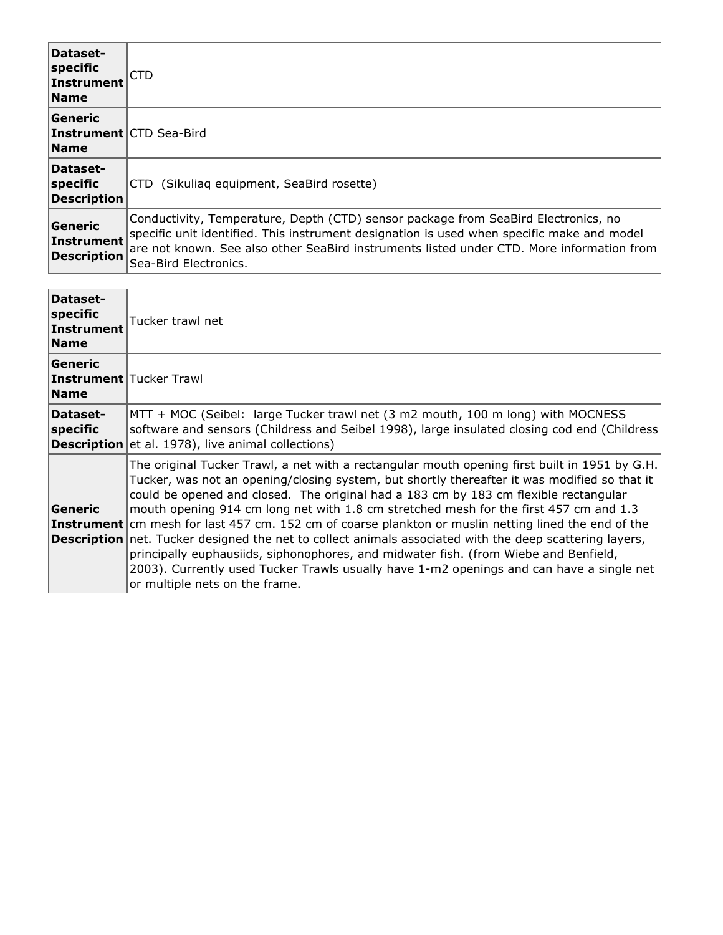| Dataset-<br>specific<br>Instrument<br><b>Name</b> | CTD                                                                                                                                                                                                                                                                                                    |
|---------------------------------------------------|--------------------------------------------------------------------------------------------------------------------------------------------------------------------------------------------------------------------------------------------------------------------------------------------------------|
| <b>Generic</b><br><b>Name</b>                     | <b>Instrument CTD Sea-Bird</b>                                                                                                                                                                                                                                                                         |
| Dataset-<br>specific<br><b>Description</b>        | CTD (Sikuliaq equipment, SeaBird rosette)                                                                                                                                                                                                                                                              |
| Generic<br>Instrument<br><b>Description</b>       | Conductivity, Temperature, Depth (CTD) sensor package from SeaBird Electronics, no<br>specific unit identified. This instrument designation is used when specific make and model<br>are not known. See also other SeaBird instruments listed under CTD. More information from<br>Sea-Bird Electronics. |

| Dataset-<br>specific<br>Instrument<br><b>Name</b>        | Tucker trawl net                                                                                                                                                                                                                                                                                                                                                                                                                                                                                                                                                                                                                                                                                                                                                                                                                      |
|----------------------------------------------------------|---------------------------------------------------------------------------------------------------------------------------------------------------------------------------------------------------------------------------------------------------------------------------------------------------------------------------------------------------------------------------------------------------------------------------------------------------------------------------------------------------------------------------------------------------------------------------------------------------------------------------------------------------------------------------------------------------------------------------------------------------------------------------------------------------------------------------------------|
| Generic<br><b>Instrument</b> Tucker Trawl<br><b>Name</b> |                                                                                                                                                                                                                                                                                                                                                                                                                                                                                                                                                                                                                                                                                                                                                                                                                                       |
| Dataset-<br>specific                                     | MTT + MOC (Seibel: large Tucker trawl net (3 m2 mouth, 100 m long) with MOCNESS<br>software and sensors (Childress and Seibel 1998), large insulated closing cod end (Childress<br><b>Description</b> et al. 1978), live animal collections)                                                                                                                                                                                                                                                                                                                                                                                                                                                                                                                                                                                          |
| Generic                                                  | The original Tucker Trawl, a net with a rectangular mouth opening first built in 1951 by G.H.<br>Tucker, was not an opening/closing system, but shortly thereafter it was modified so that it<br>could be opened and closed. The original had a 183 cm by 183 cm flexible rectangular<br>mouth opening 914 cm long net with 1.8 cm stretched mesh for the first 457 cm and 1.3<br><b>Instrument</b> cm mesh for last 457 cm. 152 cm of coarse plankton or muslin netting lined the end of the<br><b>Description</b> net. Tucker designed the net to collect animals associated with the deep scattering layers,<br>principally euphausiids, siphonophores, and midwater fish. (from Wiebe and Benfield,<br>2003). Currently used Tucker Trawls usually have 1-m2 openings and can have a single net<br>or multiple nets on the frame. |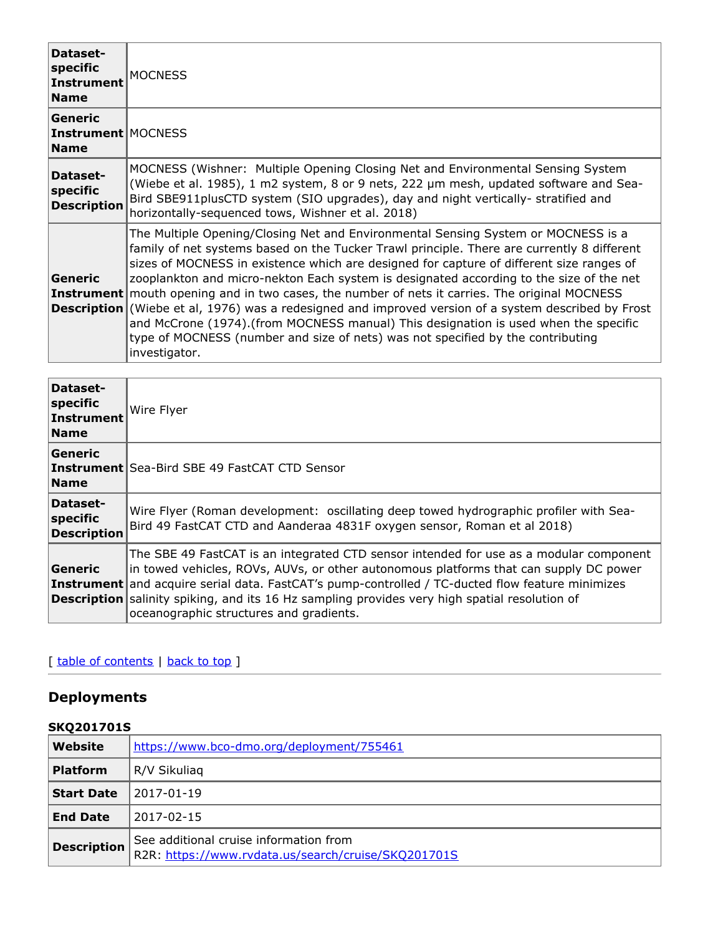| Dataset-<br>specific<br>Instrument<br><b>Name</b>   | <b>MOCNESS</b>                                                                                                                                                                                                                                                                                                                                                                                                                                                                                                                                                                                                                                                                                                                                                                             |
|-----------------------------------------------------|--------------------------------------------------------------------------------------------------------------------------------------------------------------------------------------------------------------------------------------------------------------------------------------------------------------------------------------------------------------------------------------------------------------------------------------------------------------------------------------------------------------------------------------------------------------------------------------------------------------------------------------------------------------------------------------------------------------------------------------------------------------------------------------------|
| Generic<br><b>Instrument</b> MOCNESS<br><b>Name</b> |                                                                                                                                                                                                                                                                                                                                                                                                                                                                                                                                                                                                                                                                                                                                                                                            |
| Dataset-<br>specific<br><b>Description</b>          | MOCNESS (Wishner: Multiple Opening Closing Net and Environmental Sensing System<br>(Wiebe et al. 1985), 1 m2 system, 8 or 9 nets, 222 µm mesh, updated software and Sea-<br>Bird SBE911plusCTD system (SIO upgrades), day and night vertically- stratified and<br>horizontally-sequenced tows, Wishner et al. 2018)                                                                                                                                                                                                                                                                                                                                                                                                                                                                        |
| Generic                                             | The Multiple Opening/Closing Net and Environmental Sensing System or MOCNESS is a<br>family of net systems based on the Tucker Trawl principle. There are currently 8 different<br>sizes of MOCNESS in existence which are designed for capture of different size ranges of<br>zooplankton and micro-nekton Each system is designated according to the size of the net<br><b>Instrument</b> mouth opening and in two cases, the number of nets it carries. The original MOCNESS<br><b>Description</b> (Wiebe et al, 1976) was a redesigned and improved version of a system described by Frost<br>and McCrone (1974). (from MOCNESS manual) This designation is used when the specific<br>type of MOCNESS (number and size of nets) was not specified by the contributing<br>investigator. |

| Dataset-<br>specific<br>Instrument<br><b>Name</b> | Wire Flyer                                                                                                                                                                                                                                                                                                                                                                                                                                    |
|---------------------------------------------------|-----------------------------------------------------------------------------------------------------------------------------------------------------------------------------------------------------------------------------------------------------------------------------------------------------------------------------------------------------------------------------------------------------------------------------------------------|
| <b>Generic</b><br><b>Name</b>                     | <b>Instrument</b> Sea-Bird SBE 49 FastCAT CTD Sensor                                                                                                                                                                                                                                                                                                                                                                                          |
| Dataset-<br>specific<br><b>Description</b>        | Wire Flyer (Roman development: oscillating deep towed hydrographic profiler with Sea-<br>Bird 49 FastCAT CTD and Aanderaa 4831F oxygen sensor, Roman et al 2018)                                                                                                                                                                                                                                                                              |
| Generic                                           | The SBE 49 FastCAT is an integrated CTD sensor intended for use as a modular component<br>in towed vehicles, ROVs, AUVs, or other autonomous platforms that can supply DC power<br><b>Instrument</b> and acquire serial data. FastCAT's pump-controlled / TC-ducted flow feature minimizes<br><b>Description</b> salinity spiking, and its 16 Hz sampling provides very high spatial resolution of<br>oceanographic structures and gradients. |

## [ table of [contents](#page-0-0) | [back](#page-0-0) to top ]

## **Deployments**

## **SKQ201701S**

| Website            | https://www.bco-dmo.org/deployment/755461                                                     |  |
|--------------------|-----------------------------------------------------------------------------------------------|--|
| <b>Platform</b>    | R/V Sikuliag                                                                                  |  |
| <b>Start Date</b>  | 2017-01-19                                                                                    |  |
| <b>End Date</b>    | 2017-02-15                                                                                    |  |
| <b>Description</b> | See additional cruise information from<br>R2R: https://www.rvdata.us/search/cruise/SKQ201701S |  |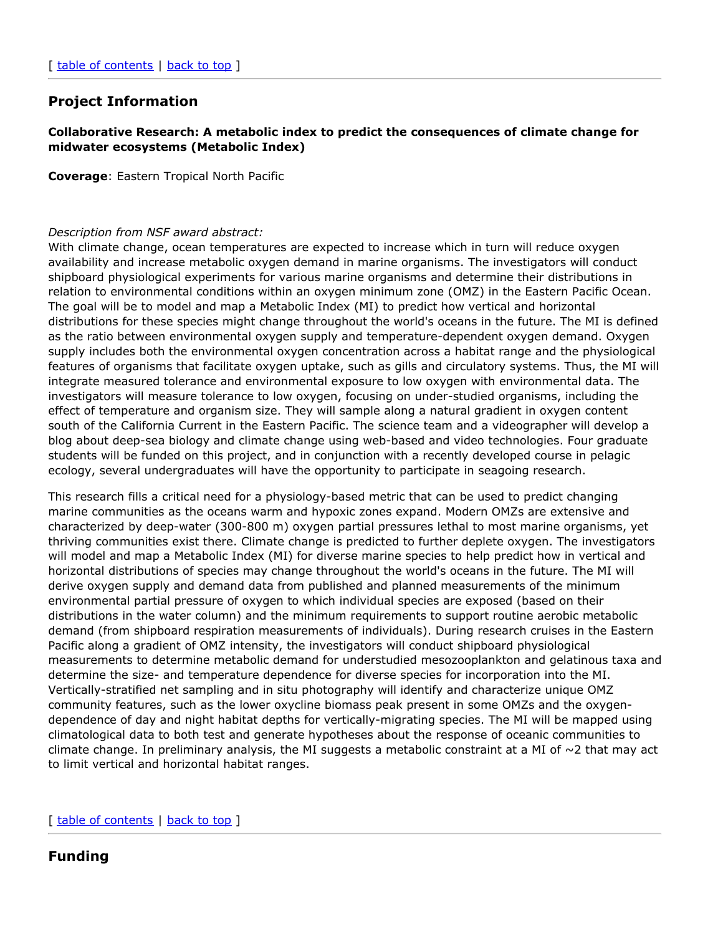## **Project Information**

#### **Collaborative Research: A metabolic index to predict the consequences of climate change for midwater ecosystems (Metabolic Index)**

**Coverage**: Eastern Tropical North Pacific

#### *Description from NSF award abstract:*

With climate change, ocean temperatures are expected to increase which in turn will reduce oxygen availability and increase metabolic oxygen demand in marine organisms. The investigators will conduct shipboard physiological experiments for various marine organisms and determine their distributions in relation to environmental conditions within an oxygen minimum zone (OMZ) in the Eastern Pacific Ocean. The goal will be to model and map a Metabolic Index (MI) to predict how vertical and horizontal distributions for these species might change throughout the world's oceans in the future. The MI is defined as the ratio between environmental oxygen supply and temperature-dependent oxygen demand. Oxygen supply includes both the environmental oxygen concentration across a habitat range and the physiological features of organisms that facilitate oxygen uptake, such as gills and circulatory systems. Thus, the MI will integrate measured tolerance and environmental exposure to low oxygen with environmental data. The investigators will measure tolerance to low oxygen, focusing on under-studied organisms, including the effect of temperature and organism size. They will sample along a natural gradient in oxygen content south of the California Current in the Eastern Pacific. The science team and a videographer will develop a blog about deep-sea biology and climate change using web-based and video technologies. Four graduate students will be funded on this project, and in conjunction with a recently developed course in pelagic ecology, several undergraduates will have the opportunity to participate in seagoing research.

This research fills a critical need for a physiology-based metric that can be used to predict changing marine communities as the oceans warm and hypoxic zones expand. Modern OMZs are extensive and characterized by deep-water (300-800 m) oxygen partial pressures lethal to most marine organisms, yet thriving communities exist there. Climate change is predicted to further deplete oxygen. The investigators will model and map a Metabolic Index (MI) for diverse marine species to help predict how in vertical and horizontal distributions of species may change throughout the world's oceans in the future. The MI will derive oxygen supply and demand data from published and planned measurements of the minimum environmental partial pressure of oxygen to which individual species are exposed (based on their distributions in the water column) and the minimum requirements to support routine aerobic metabolic demand (from shipboard respiration measurements of individuals). During research cruises in the Eastern Pacific along a gradient of OMZ intensity, the investigators will conduct shipboard physiological measurements to determine metabolic demand for understudied mesozooplankton and gelatinous taxa and determine the size- and temperature dependence for diverse species for incorporation into the MI. Vertically-stratified net sampling and in situ photography will identify and characterize unique OMZ community features, such as the lower oxycline biomass peak present in some OMZs and the oxygendependence of day and night habitat depths for vertically-migrating species. The MI will be mapped using climatological data to both test and generate hypotheses about the response of oceanic communities to climate change. In preliminary analysis, the MI suggests a metabolic constraint at a MI of  $\sim$ 2 that may act to limit vertical and horizontal habitat ranges.